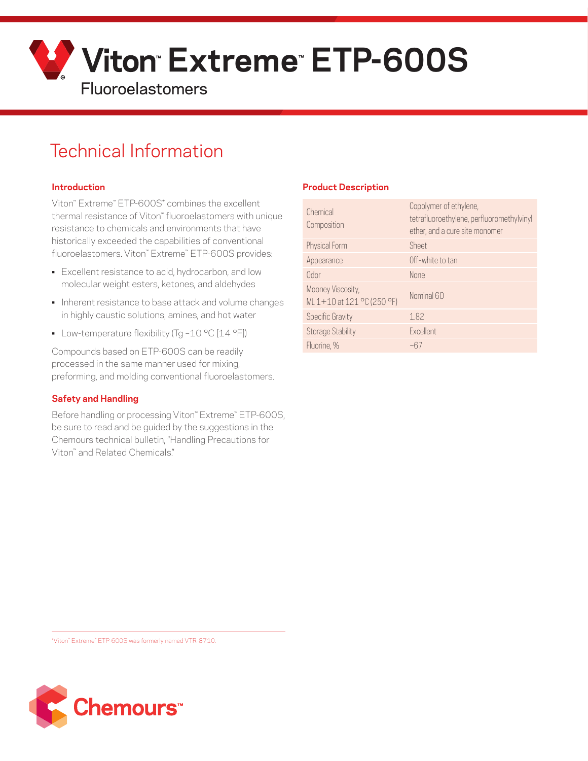

# Technical Information

### **Introduction**

Viton™ Extreme™ ETP-600S\* combines the excellent thermal resistance of Viton™ fluoroelastomers with unique resistance to chemicals and environments that have historically exceeded the capabilities of conventional fluoroelastomers. Viton™ Extreme™ ETP-600S provides:

- Excellent resistance to acid, hydrocarbon, and low molecular weight esters, ketones, and aldehydes
- Inherent resistance to base attack and volume changes in highly caustic solutions, amines, and hot water
- Low-temperature flexibility (Tg-10 °C [14 °F])

Compounds based on ETP-600S can be readily processed in the same manner used for mixing, preforming, and molding conventional fluoroelastomers.

### **Safety and Handling**

Before handling or processing Viton™ Extreme™ ETP-600S, be sure to read and be guided by the suggestions in the Chemours technical bulletin, "Handling Precautions for Viton™ and Related Chemicals."

## **Product Description**

| Chemical<br>Composition                         | Copolymer of ethylene,<br>tetrafluoroethylene, perfluoromethylvinyl<br>ether, and a cure site monomer |
|-------------------------------------------------|-------------------------------------------------------------------------------------------------------|
| Physical Form                                   | Sheet                                                                                                 |
| Appearance                                      | Off-white to tan                                                                                      |
| Odor                                            | <b>None</b>                                                                                           |
| Mooney Viscosity,<br>ML 1+10 at 121 °C (250 °F) | Nominal 60                                                                                            |
| <b>Specific Gravity</b>                         | 1.82                                                                                                  |
| <b>Storage Stability</b>                        | <b>Fxcellent</b>                                                                                      |
| Fluorine, %                                     | ~67                                                                                                   |

\*Viton™ Extreme™ ETP-600S was formerly named VTR-8710.

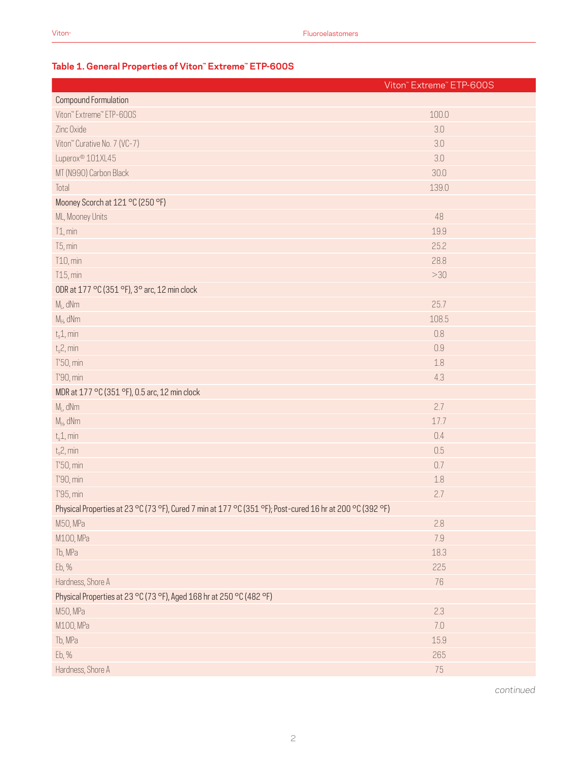## **Table 1. General Properties of Viton™ Extreme™ ETP-600S**

|                                                                                                           | Viton" Extreme" ETP-600S |
|-----------------------------------------------------------------------------------------------------------|--------------------------|
| <b>Compound Formulation</b>                                                                               |                          |
| Viton" Extreme" ETP-600S                                                                                  | 100.0                    |
| Zinc Oxide                                                                                                | 3.0                      |
| Viton" Curative No. 7 (VC-7)                                                                              | 3.0                      |
| Luperox <sup>®</sup> 101XL45                                                                              | 3.0                      |
| MT (N990) Carbon Black                                                                                    | 30.0                     |
| Total                                                                                                     | 139.0                    |
| Mooney Scorch at 121 °C (250 °F)                                                                          |                          |
| ML, Mooney Units                                                                                          | 48                       |
| T1, min                                                                                                   | 19.9                     |
| T5, min                                                                                                   | 25.2                     |
| T10, min                                                                                                  | 28.8                     |
| T15, min                                                                                                  | $>30$                    |
| ODR at 177 °C (351 °F), 3° arc, 12 min clock                                                              |                          |
| $M_L$ , dNm                                                                                               | 25.7                     |
| $M_H$ , dNm                                                                                               | 108.5                    |
| $t_s$ 1, min                                                                                              | 0.8                      |
| $t_s$ 2, min                                                                                              | 0.9                      |
| T'50, min                                                                                                 | 1.8                      |
| T'90, min                                                                                                 | 4.3                      |
| MDR at 177 °C (351 °F), 0.5 arc, 12 min clock                                                             |                          |
| $ML$ , dNm                                                                                                | 2.7                      |
| $M_H$ , dNm                                                                                               | 17.7                     |
| $t_s$ 1, min                                                                                              | 0.4                      |
| $t_s$ 2, min                                                                                              | 0.5                      |
| T'50, min                                                                                                 | 0.7                      |
| T'90, min                                                                                                 | 1.8                      |
| T'95, min                                                                                                 | 2.7                      |
| Physical Properties at 23 °C (73 °F), Cured 7 min at 177 °C (351 °F); Post-cured 16 hr at 200 °C (392 °F) |                          |
| M50, MPa                                                                                                  | 2.8                      |
| M100, MPa                                                                                                 | 7.9                      |
| Tb, MPa                                                                                                   | 18.3                     |
| Eb, %                                                                                                     | 225                      |
| Hardness, Shore A                                                                                         | 76                       |
| Physical Properties at 23 °C (73 °F), Aged 168 hr at 250 °C (482 °F)                                      |                          |
| M50, MPa                                                                                                  | 2.3                      |
| M100, MPa                                                                                                 | 7.0                      |
| Tb, MPa                                                                                                   | 15.9                     |
| Eb, %                                                                                                     | 265                      |
| Hardness, Shore A                                                                                         | 75                       |

*continued*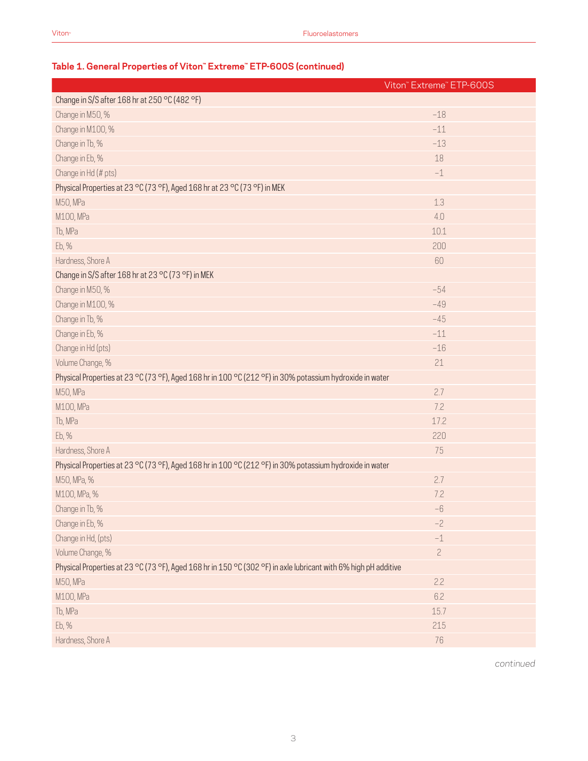## **Table 1. General Properties of Viton™ Extreme™ ETP-600S (continued)**

|                                                                                                                 | Viton" Extreme" ETP-600S |  |
|-----------------------------------------------------------------------------------------------------------------|--------------------------|--|
| Change in S/S after 168 hr at 250 °C (482 °F)                                                                   |                          |  |
| Change in M50, %                                                                                                | $-18$                    |  |
| Change in M100, %                                                                                               | $-11$                    |  |
| Change in Tb, %                                                                                                 | $-13$                    |  |
| Change in Eb, %                                                                                                 | 18                       |  |
| Change in Hd (# pts)                                                                                            | $-1$                     |  |
| Physical Properties at 23 °C (73 °F), Aged 168 hr at 23 °C (73 °F) in MEK                                       |                          |  |
| M50, MPa                                                                                                        | 1.3                      |  |
| M100, MPa                                                                                                       | 4.0                      |  |
| Tb, MPa                                                                                                         | 10.1                     |  |
| Eb, %                                                                                                           | 200                      |  |
| Hardness, Shore A                                                                                               | 60                       |  |
| Change in S/S after 168 hr at 23 °C (73 °F) in MEK                                                              |                          |  |
| Change in M50, %                                                                                                | $-54$                    |  |
| Change in M100, %                                                                                               | $-49$                    |  |
| Change in Tb, %                                                                                                 | $-45$                    |  |
| Change in Eb, %                                                                                                 | $-11$                    |  |
| Change in Hd (pts)                                                                                              | $-16$                    |  |
| Volume Change, %                                                                                                | 21                       |  |
| Physical Properties at 23 °C (73 °F), Aged 168 hr in 100 °C (212 °F) in 30% potassium hydroxide in water        |                          |  |
| M50, MPa                                                                                                        | 2.7                      |  |
| M100, MPa                                                                                                       | 7.2                      |  |
| Tb, MPa                                                                                                         | 17.2                     |  |
| Eb, %                                                                                                           | 220                      |  |
| Hardness, Shore A                                                                                               | 75                       |  |
| Physical Properties at 23 °C (73 °F), Aged 168 hr in 100 °C (212 °F) in 30% potassium hydroxide in water        |                          |  |
| M50, MPa, %                                                                                                     | 2.7                      |  |
| M100, MPa, %                                                                                                    | 7.2                      |  |
| Change in Tb, %                                                                                                 | -6                       |  |
| Change in Eb, %                                                                                                 | $-2$                     |  |
| Change in Hd, (pts)                                                                                             | $^{\rm -1}$              |  |
| Volume Change, %                                                                                                | $\overline{c}$           |  |
| Physical Properties at 23 °C (73 °F), Aged 168 hr in 150 °C (302 °F) in axle lubricant with 6% high pH additive |                          |  |
| M50, MPa                                                                                                        | 2.2                      |  |
| M100, MPa                                                                                                       | 6.2                      |  |
| Tb, MPa                                                                                                         | 15.7                     |  |
| Eb, %                                                                                                           | 215                      |  |
| Hardness, Shore A                                                                                               | 76                       |  |

*continued*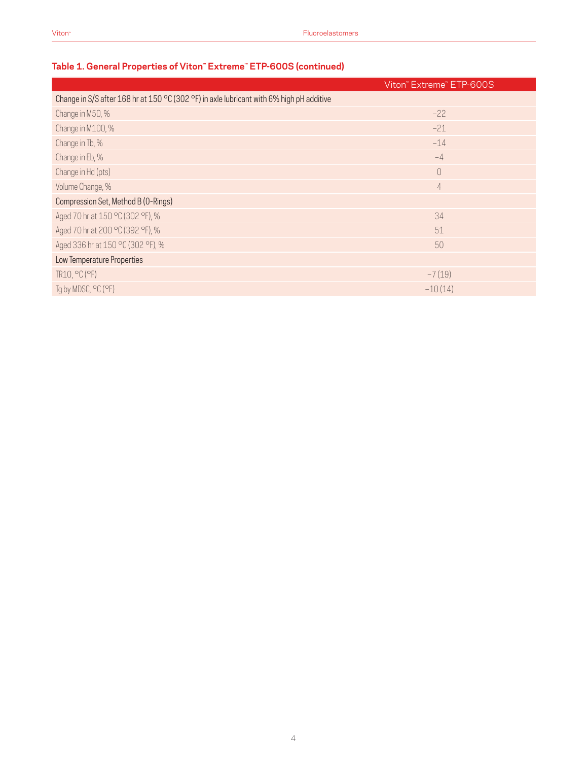## **Table 1. General Properties of Viton™ Extreme™ ETP-600S (continued)**

|                                                                                          | Viton" Extreme" ETP-600S |
|------------------------------------------------------------------------------------------|--------------------------|
| Change in S/S after 168 hr at 150 °C (302 °F) in axle lubricant with 6% high pH additive |                          |
| Change in M50, %                                                                         | $-22$                    |
| Change in M100, %                                                                        | $-21$                    |
| Change in Tb, %                                                                          | $-14$                    |
| Change in Eb, %                                                                          | $-4$                     |
| Change in Hd (pts)                                                                       | $\bigcap$                |
| Volume Change, %                                                                         | $\overline{4}$           |
| Compression Set, Method B (0-Rings)                                                      |                          |
| Aged 70 hr at 150 °C (302 °F), %                                                         | 34                       |
| Aged 70 hr at 200 °C (392 °F), %                                                         | 51                       |
| Aged 336 hr at 150 °C (302 °F), %                                                        | 50                       |
| Low Temperature Properties                                                               |                          |
| TR10, °C (°F)                                                                            | $-7(19)$                 |
| Tg by MDSC, °C (°F)                                                                      | $-10(14)$                |